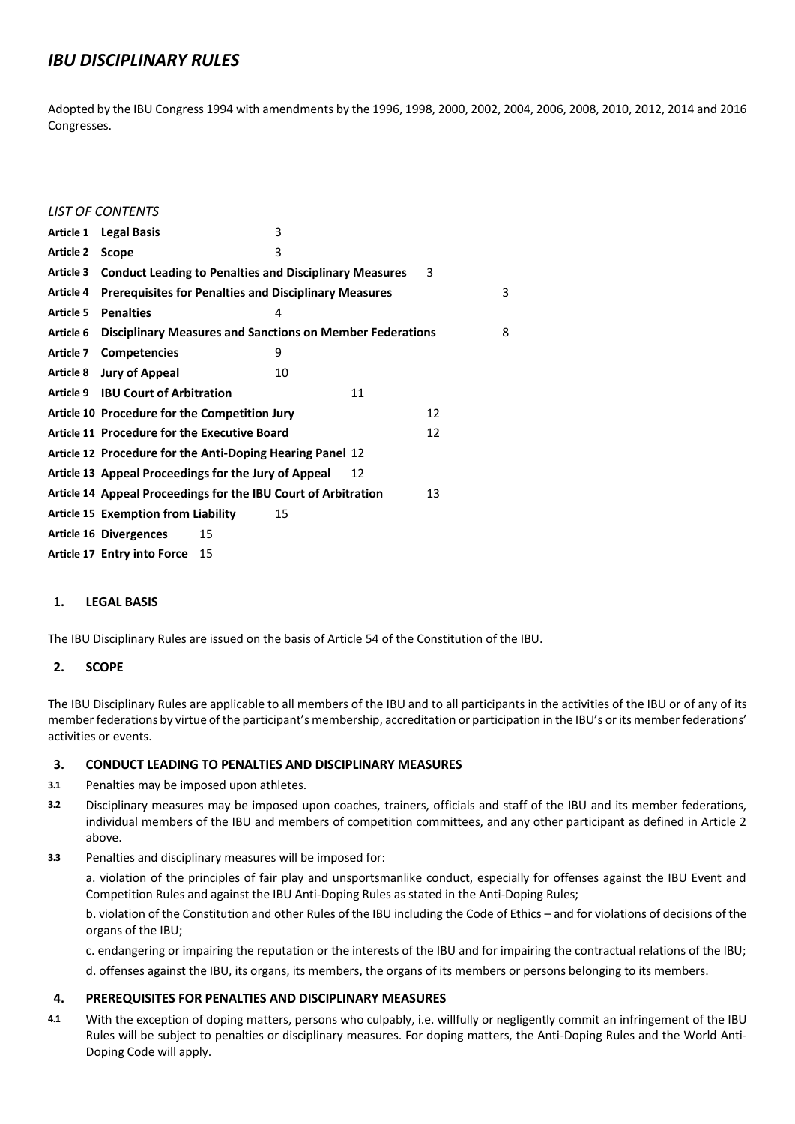## *IBU DISCIPLINARY RULES*

Adopted by the IBU Congress 1994 with amendments by the 1996, 1998, 2000, 2002, 2004, 2006, 2008, 2010, 2012, 2014 and 2016 Congresses.

|                  | <b>LIST OF CONTENTS</b>                                            |    |    |    |    |   |
|------------------|--------------------------------------------------------------------|----|----|----|----|---|
| Article 1        | <b>Legal Basis</b>                                                 |    | 3  |    |    |   |
| <b>Article 2</b> | Scope                                                              |    | 3  |    |    |   |
| Article 3        | <b>Conduct Leading to Penalties and Disciplinary Measures</b><br>3 |    |    |    |    |   |
| <b>Article 4</b> | <b>Prerequisites for Penalties and Disciplinary Measures</b>       |    |    |    |    | 3 |
| <b>Article 5</b> | <b>Penalties</b>                                                   |    | 4  |    |    |   |
| Article 6        | <b>Disciplinary Measures and Sanctions on Member Federations</b>   |    |    |    |    | 8 |
| Article 7        | <b>Competencies</b>                                                |    | 9  |    |    |   |
|                  | Article 8 Jury of Appeal                                           |    | 10 |    |    |   |
|                  | Article 9 IBU Court of Arbitration                                 |    |    | 11 |    |   |
|                  | Article 10 Procedure for the Competition Jury                      |    |    |    | 12 |   |
|                  | Article 11 Procedure for the Executive Board                       |    |    | 12 |    |   |
|                  | Article 12 Procedure for the Anti-Doping Hearing Panel 12          |    |    |    |    |   |
|                  | Article 13 Appeal Proceedings for the Jury of Appeal<br>12         |    |    |    |    |   |
|                  | Article 14 Appeal Proceedings for the IBU Court of Arbitration     |    |    |    | 13 |   |
|                  | <b>Article 15 Exemption from Liability</b>                         |    | 15 |    |    |   |
|                  | <b>Article 16 Divergences</b>                                      | 15 |    |    |    |   |
|                  | Article 17 Entry into Force                                        | 15 |    |    |    |   |

#### **1. LEGAL BASIS**

The IBU Disciplinary Rules are issued on the basis of Article 54 of the Constitution of the IBU.

## **2. SCOPE**

The IBU Disciplinary Rules are applicable to all members of the IBU and to all participants in the activities of the IBU or of any of its member federations by virtue of the participant's membership, accreditation or participation in the IBU's or its member federations' activities or events.

#### **3. CONDUCT LEADING TO PENALTIES AND DISCIPLINARY MEASURES**

- **3.1** Penalties may be imposed upon athletes.
- **3.2** Disciplinary measures may be imposed upon coaches, trainers, officials and staff of the IBU and its member federations, individual members of the IBU and members of competition committees, and any other participant as defined in Article 2 above.
- **3.3** Penalties and disciplinary measures will be imposed for:

a. violation of the principles of fair play and unsportsmanlike conduct, especially for offenses against the IBU Event and Competition Rules and against the IBU Anti-Doping Rules as stated in the Anti-Doping Rules;

b. violation of the Constitution and other Rules of the IBU including the Code of Ethics – and for violations of decisions of the organs of the IBU;

c. endangering or impairing the reputation or the interests of the IBU and for impairing the contractual relations of the IBU;

d. offenses against the IBU, its organs, its members, the organs of its members or persons belonging to its members.

## **4. PREREQUISITES FOR PENALTIES AND DISCIPLINARY MEASURES**

**4.1** With the exception of doping matters, persons who culpably, i.e. willfully or negligently commit an infringement of the IBU Rules will be subject to penalties or disciplinary measures. For doping matters, the Anti-Doping Rules and the World Anti-Doping Code will apply.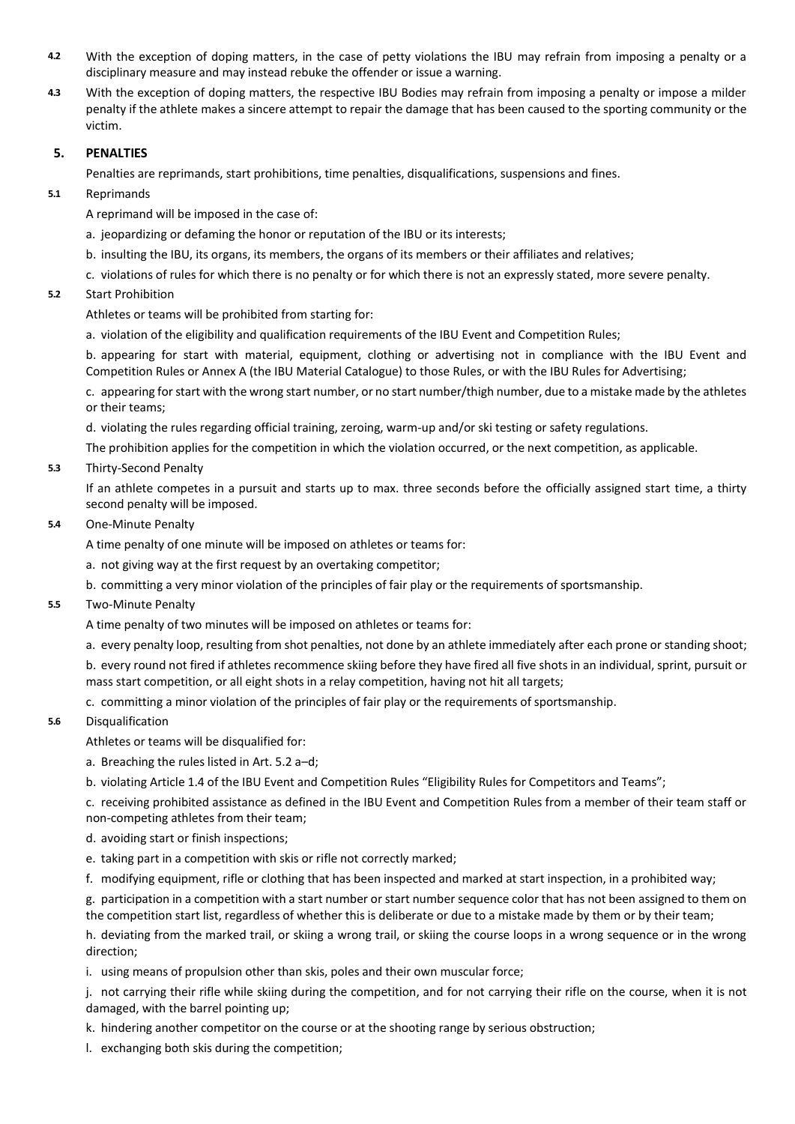- **4.2** With the exception of doping matters, in the case of petty violations the IBU may refrain from imposing a penalty or a disciplinary measure and may instead rebuke the offender or issue a warning.
- **4.3** With the exception of doping matters, the respective IBU Bodies may refrain from imposing a penalty or impose a milder penalty if the athlete makes a sincere attempt to repair the damage that has been caused to the sporting community or the victim.

### **5. PENALTIES**

Penalties are reprimands, start prohibitions, time penalties, disqualifications, suspensions and fines.

**5.1** Reprimands

A reprimand will be imposed in the case of:

- a. jeopardizing or defaming the honor or reputation of the IBU or its interests;
- b. insulting the IBU, its organs, its members, the organs of its members or their affiliates and relatives;
- c. violations of rules for which there is no penalty or for which there is not an expressly stated, more severe penalty.

## **5.2** Start Prohibition

Athletes or teams will be prohibited from starting for:

a. violation of the eligibility and qualification requirements of the IBU Event and Competition Rules;

b. appearing for start with material, equipment, clothing or advertising not in compliance with the IBU Event and Competition Rules or Annex A (the IBU Material Catalogue) to those Rules, or with the IBU Rules for Advertising;

c. appearing for start with the wrong start number, or no start number/thigh number, due to a mistake made by the athletes or their teams;

d. violating the rules regarding official training, zeroing, warm-up and/or ski testing or safety regulations.

The prohibition applies for the competition in which the violation occurred, or the next competition, as applicable.

## **5.3** Thirty-Second Penalty

If an athlete competes in a pursuit and starts up to max. three seconds before the officially assigned start time, a thirty second penalty will be imposed.

#### **5.4** One-Minute Penalty

A time penalty of one minute will be imposed on athletes or teams for:

- a. not giving way at the first request by an overtaking competitor;
- b. committing a very minor violation of the principles of fair play or the requirements of sportsmanship.

#### **5.5** Two-Minute Penalty

A time penalty of two minutes will be imposed on athletes or teams for:

a. every penalty loop, resulting from shot penalties, not done by an athlete immediately after each prone or standing shoot;

b. every round not fired if athletes recommence skiing before they have fired all five shots in an individual, sprint, pursuit or mass start competition, or all eight shots in a relay competition, having not hit all targets;

c. committing a minor violation of the principles of fair play or the requirements of sportsmanship.

#### **5.6** Disqualification

Athletes or teams will be disqualified for:

- a. Breaching the rules listed in Art. 5.2 a–d;
- b. violating Article 1.4 of the IBU Event and Competition Rules "Eligibility Rules for Competitors and Teams";

c. receiving prohibited assistance as defined in the IBU Event and Competition Rules from a member of their team staff or non-competing athletes from their team;

- d. avoiding start or finish inspections;
- e. taking part in a competition with skis or rifle not correctly marked;
- f. modifying equipment, rifle or clothing that has been inspected and marked at start inspection, in a prohibited way;

g. participation in a competition with a start number or start number sequence color that has not been assigned to them on the competition start list, regardless of whether this is deliberate or due to a mistake made by them or by their team;

h. deviating from the marked trail, or skiing a wrong trail, or skiing the course loops in a wrong sequence or in the wrong direction;

i. using means of propulsion other than skis, poles and their own muscular force;

j. not carrying their rifle while skiing during the competition, and for not carrying their rifle on the course, when it is not damaged, with the barrel pointing up;

k. hindering another competitor on the course or at the shooting range by serious obstruction;

l. exchanging both skis during the competition;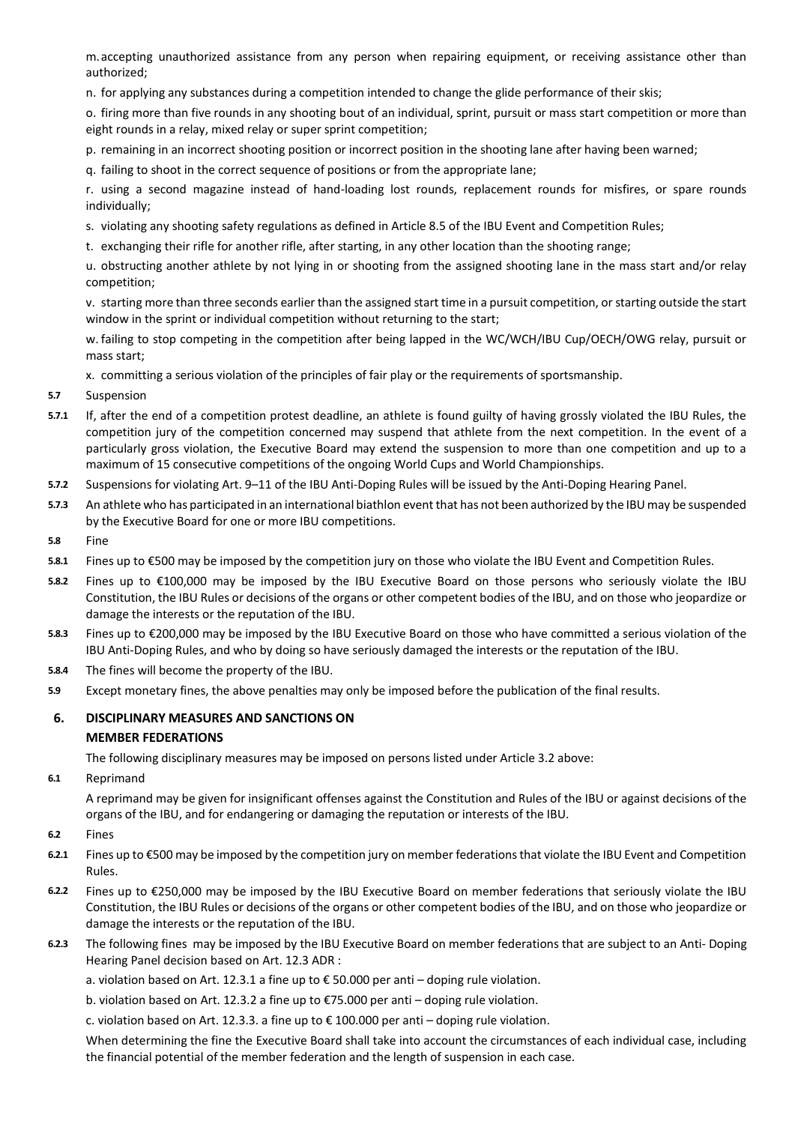m.accepting unauthorized assistance from any person when repairing equipment, or receiving assistance other than authorized;

n. for applying any substances during a competition intended to change the glide performance of their skis;

o. firing more than five rounds in any shooting bout of an individual, sprint, pursuit or mass start competition or more than eight rounds in a relay, mixed relay or super sprint competition;

p. remaining in an incorrect shooting position or incorrect position in the shooting lane after having been warned;

q. failing to shoot in the correct sequence of positions or from the appropriate lane;

r. using a second magazine instead of hand-loading lost rounds, replacement rounds for misfires, or spare rounds individually;

- s. violating any shooting safety regulations as defined in Article 8.5 of the IBU Event and Competition Rules;
- t. exchanging their rifle for another rifle, after starting, in any other location than the shooting range;

u. obstructing another athlete by not lying in or shooting from the assigned shooting lane in the mass start and/or relay competition;

v. starting more than three seconds earlier than the assigned start time in a pursuit competition, or starting outside the start window in the sprint or individual competition without returning to the start;

w. failing to stop competing in the competition after being lapped in the WC/WCH/IBU Cup/OECH/OWG relay, pursuit or mass start;

x. committing a serious violation of the principles of fair play or the requirements of sportsmanship.

- **5.7** Suspension
- **5.7.1** If, after the end of a competition protest deadline, an athlete is found guilty of having grossly violated the IBU Rules, the competition jury of the competition concerned may suspend that athlete from the next competition. In the event of a particularly gross violation, the Executive Board may extend the suspension to more than one competition and up to a maximum of 15 consecutive competitions of the ongoing World Cups and World Championships.
- **5.7.2** Suspensions for violating Art. 9–11 of the IBU Anti-Doping Rules will be issued by the Anti-Doping Hearing Panel.
- **5.7.3** An athlete who has participated in an international biathlon event that has not been authorized by the IBU may be suspended by the Executive Board for one or more IBU competitions.
- **5.8** Fine
- **5.8.1** Fines up to €500 may be imposed by the competition jury on those who violate the IBU Event and Competition Rules.
- **5.8.2** Fines up to €100,000 may be imposed by the IBU Executive Board on those persons who seriously violate the IBU Constitution, the IBU Rules or decisions of the organs or other competent bodies of the IBU, and on those who jeopardize or damage the interests or the reputation of the IBU.
- **5.8.3** Fines up to €200,000 may be imposed by the IBU Executive Board on those who have committed a serious violation of the IBU Anti-Doping Rules, and who by doing so have seriously damaged the interests or the reputation of the IBU.
- **5.8.4** The fines will become the property of the IBU.
- **5.9** Except monetary fines, the above penalties may only be imposed before the publication of the final results.

## **6. DISCIPLINARY MEASURES AND SANCTIONS ON MEMBER FEDERATIONS**

The following disciplinary measures may be imposed on persons listed under Article 3.2 above:

**6.1** Reprimand

A reprimand may be given for insignificant offenses against the Constitution and Rules of the IBU or against decisions of the organs of the IBU, and for endangering or damaging the reputation or interests of the IBU.

- **6.2** Fines
- **6.2.1** Fines up to €500 may be imposed by the competition jury on member federations that violate the IBU Event and Competition Rules.
- **6.2.2** Fines up to €250,000 may be imposed by the IBU Executive Board on member federations that seriously violate the IBU Constitution, the IBU Rules or decisions of the organs or other competent bodies of the IBU, and on those who jeopardize or damage the interests or the reputation of the IBU.
- **6.2.3** The following fines may be imposed by the IBU Executive Board on member federations that are subject to an Anti- Doping Hearing Panel decision based on Art. 12.3 ADR :

a. violation based on Art. 12.3.1 a fine up to  $\epsilon$  50.000 per anti – doping rule violation.

b. violation based on Art. 12.3.2 a fine up to €75.000 per anti – doping rule violation.

c. violation based on Art. 12.3.3. a fine up to  $\epsilon$  100.000 per anti – doping rule violation.

When determining the fine the Executive Board shall take into account the circumstances of each individual case, including the financial potential of the member federation and the length of suspension in each case.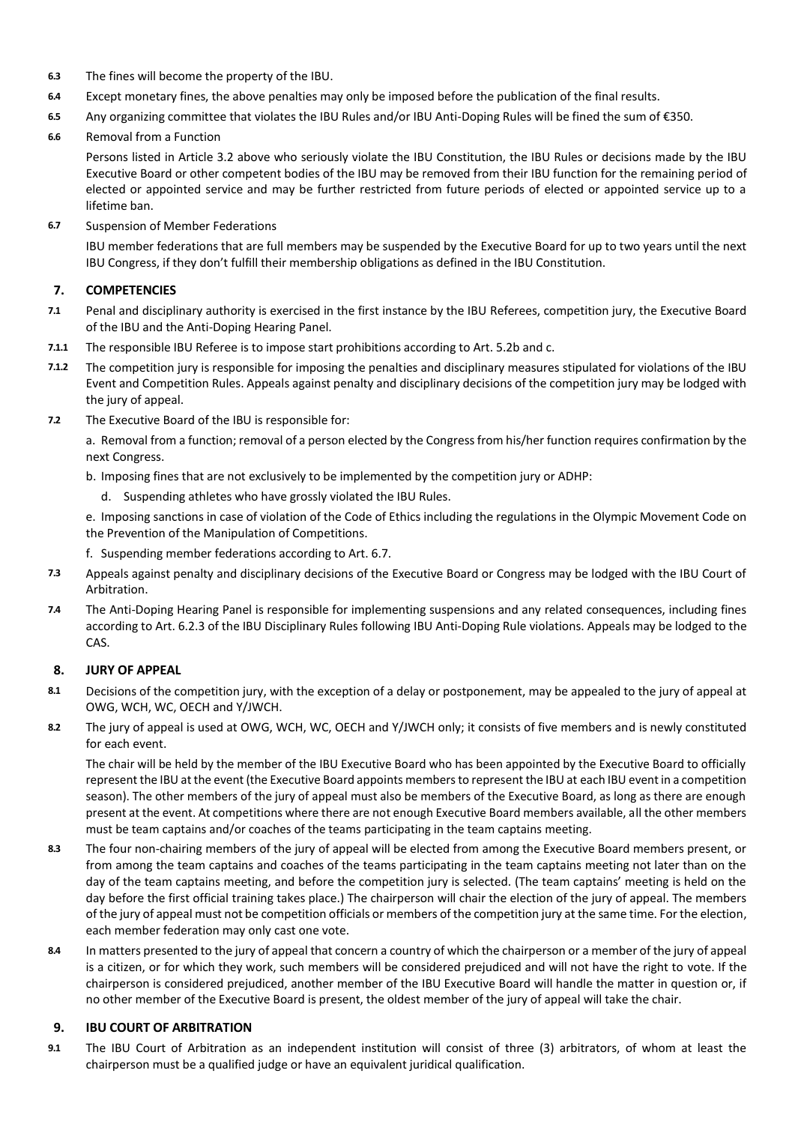- **6.3** The fines will become the property of the IBU.
- **6.4** Except monetary fines, the above penalties may only be imposed before the publication of the final results.
- **6.5** Any organizing committee that violates the IBU Rules and/or IBU Anti-Doping Rules will be fined the sum of €350.
- **6.6** Removal from a Function

Persons listed in Article 3.2 above who seriously violate the IBU Constitution, the IBU Rules or decisions made by the IBU Executive Board or other competent bodies of the IBU may be removed from their IBU function for the remaining period of elected or appointed service and may be further restricted from future periods of elected or appointed service up to a lifetime ban.

**6.7** Suspension of Member Federations

IBU member federations that are full members may be suspended by the Executive Board for up to two years until the next IBU Congress, if they don't fulfill their membership obligations as defined in the IBU Constitution.

## **7. COMPETENCIES**

- **7.1** Penal and disciplinary authority is exercised in the first instance by the IBU Referees, competition jury, the Executive Board of the IBU and the Anti-Doping Hearing Panel.
- **7.1.1** The responsible IBU Referee is to impose start prohibitions according to Art. 5.2b and c.
- **7.1.2** The competition jury is responsible for imposing the penalties and disciplinary measures stipulated for violations of the IBU Event and Competition Rules. Appeals against penalty and disciplinary decisions of the competition jury may be lodged with the jury of appeal.
- **7.2** The Executive Board of the IBU is responsible for:

a. Removal from a function; removal of a person elected by the Congress from his/her function requires confirmation by the next Congress.

- b. Imposing fines that are not exclusively to be implemented by the competition jury or ADHP:
	- d. Suspending athletes who have grossly violated the IBU Rules.

e. Imposing sanctions in case of violation of the Code of Ethics including the regulations in the Olympic Movement Code on the Prevention of the Manipulation of Competitions.

- f. Suspending member federations according to Art. 6.7.
- **7.3** Appeals against penalty and disciplinary decisions of the Executive Board or Congress may be lodged with the IBU Court of Arbitration.
- **7.4** The Anti-Doping Hearing Panel is responsible for implementing suspensions and any related consequences, including fines according to Art. 6.2.3 of the IBU Disciplinary Rules following IBU Anti-Doping Rule violations. Appeals may be lodged to the CAS.

## **8. JURY OF APPEAL**

- **8.1** Decisions of the competition jury, with the exception of a delay or postponement, may be appealed to the jury of appeal at OWG, WCH, WC, OECH and Y/JWCH.
- **8.2** The jury of appeal is used at OWG, WCH, WC, OECH and Y/JWCH only; it consists of five members and is newly constituted for each event.

The chair will be held by the member of the IBU Executive Board who has been appointed by the Executive Board to officially represent the IBU at the event (the Executive Board appoints members to represent the IBU at each IBU event in a competition season). The other members of the jury of appeal must also be members of the Executive Board, as long as there are enough present at the event. At competitions where there are not enough Executive Board members available, all the other members must be team captains and/or coaches of the teams participating in the team captains meeting.

- **8.3** The four non-chairing members of the jury of appeal will be elected from among the Executive Board members present, or from among the team captains and coaches of the teams participating in the team captains meeting not later than on the day of the team captains meeting, and before the competition jury is selected. (The team captains' meeting is held on the day before the first official training takes place.) The chairperson will chair the election of the jury of appeal. The members of the jury of appeal must not be competition officials or members of the competition jury at the same time. For the election, each member federation may only cast one vote.
- **8.4** In matters presented to the jury of appeal that concern a country of which the chairperson or a member of the jury of appeal is a citizen, or for which they work, such members will be considered prejudiced and will not have the right to vote. If the chairperson is considered prejudiced, another member of the IBU Executive Board will handle the matter in question or, if no other member of the Executive Board is present, the oldest member of the jury of appeal will take the chair.

## **9. IBU COURT OF ARBITRATION**

**9.1** The IBU Court of Arbitration as an independent institution will consist of three (3) arbitrators, of whom at least the chairperson must be a qualified judge or have an equivalent juridical qualification.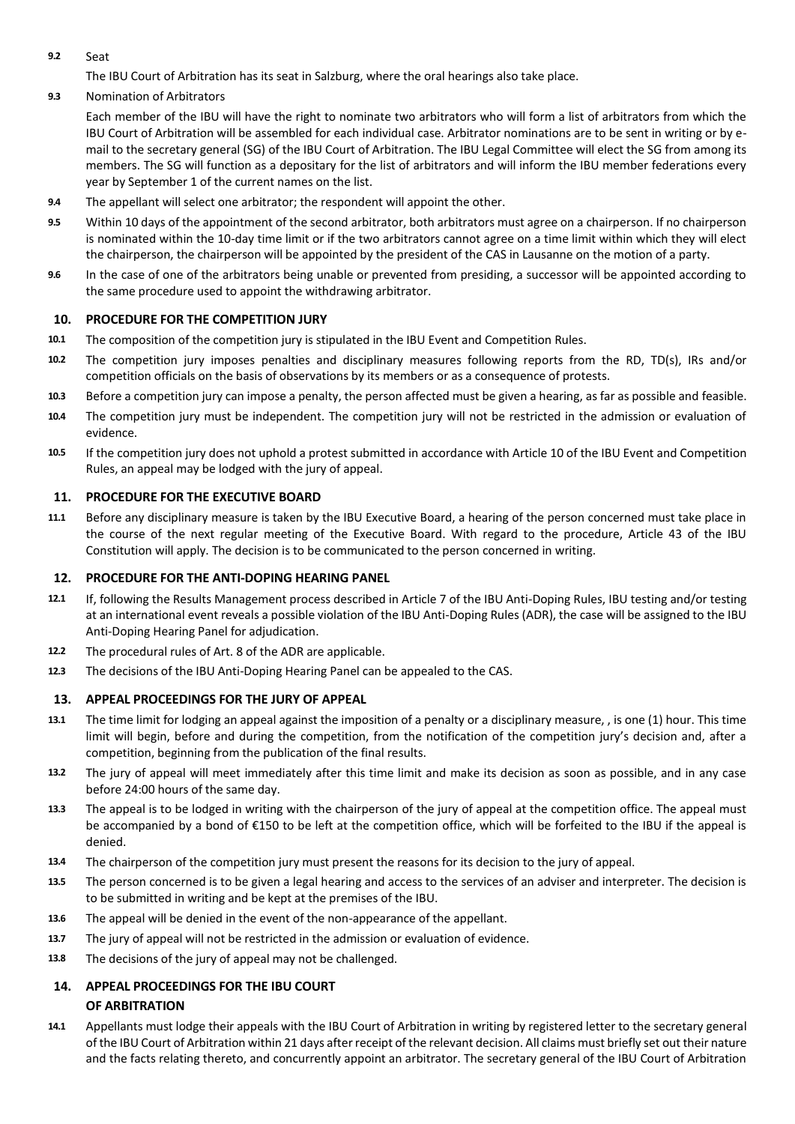**9.2** Seat

The IBU Court of Arbitration has its seat in Salzburg, where the oral hearings also take place.

**9.3** Nomination of Arbitrators

Each member of the IBU will have the right to nominate two arbitrators who will form a list of arbitrators from which the IBU Court of Arbitration will be assembled for each individual case. Arbitrator nominations are to be sent in writing or by email to the secretary general (SG) of the IBU Court of Arbitration. The IBU Legal Committee will elect the SG from among its members. The SG will function as a depositary for the list of arbitrators and will inform the IBU member federations every year by September 1 of the current names on the list.

- **9.4** The appellant will select one arbitrator; the respondent will appoint the other.
- **9.5** Within 10 days of the appointment of the second arbitrator, both arbitrators must agree on a chairperson. If no chairperson is nominated within the 10-day time limit or if the two arbitrators cannot agree on a time limit within which they will elect the chairperson, the chairperson will be appointed by the president of the CAS in Lausanne on the motion of a party.
- **9.6** In the case of one of the arbitrators being unable or prevented from presiding, a successor will be appointed according to the same procedure used to appoint the withdrawing arbitrator.

## **10. PROCEDURE FOR THE COMPETITION JURY**

- **10.1** The composition of the competition jury is stipulated in the IBU Event and Competition Rules.
- **10.2** The competition jury imposes penalties and disciplinary measures following reports from the RD, TD(s), IRs and/or competition officials on the basis of observations by its members or as a consequence of protests.
- **10.3** Before a competition jury can impose a penalty, the person affected must be given a hearing, as far as possible and feasible.
- **10.4** The competition jury must be independent. The competition jury will not be restricted in the admission or evaluation of evidence.
- **10.5** If the competition jury does not uphold a protest submitted in accordance with Article 10 of the IBU Event and Competition Rules, an appeal may be lodged with the jury of appeal.

#### **11. PROCEDURE FOR THE EXECUTIVE BOARD**

**11.1** Before any disciplinary measure is taken by the IBU Executive Board, a hearing of the person concerned must take place in the course of the next regular meeting of the Executive Board. With regard to the procedure, Article 43 of the IBU Constitution will apply. The decision is to be communicated to the person concerned in writing.

### **12. PROCEDURE FOR THE ANTI-DOPING HEARING PANEL**

- **12.1** If, following the Results Management process described in Article 7 of the IBU Anti-Doping Rules, IBU testing and/or testing at an international event reveals a possible violation of the IBU Anti-Doping Rules (ADR), the case will be assigned to the IBU Anti-Doping Hearing Panel for adjudication.
- **12.2** The procedural rules of Art. 8 of the ADR are applicable.
- **12.3** The decisions of the IBU Anti-Doping Hearing Panel can be appealed to the CAS.

#### **13. APPEAL PROCEEDINGS FOR THE JURY OF APPEAL**

- **13.1** The time limit for lodging an appeal against the imposition of a penalty or a disciplinary measure, , is one (1) hour. This time limit will begin, before and during the competition, from the notification of the competition jury's decision and, after a competition, beginning from the publication of the final results.
- **13.2** The jury of appeal will meet immediately after this time limit and make its decision as soon as possible, and in any case before 24:00 hours of the same day.
- **13.3** The appeal is to be lodged in writing with the chairperson of the jury of appeal at the competition office. The appeal must be accompanied by a bond of €150 to be left at the competition office, which will be forfeited to the IBU if the appeal is denied.
- **13.4** The chairperson of the competition jury must present the reasons for its decision to the jury of appeal.
- **13.5** The person concerned is to be given a legal hearing and access to the services of an adviser and interpreter. The decision is to be submitted in writing and be kept at the premises of the IBU.
- **13.6** The appeal will be denied in the event of the non-appearance of the appellant.
- **13.7** The jury of appeal will not be restricted in the admission or evaluation of evidence.
- **13.8** The decisions of the jury of appeal may not be challenged.

# **14. APPEAL PROCEEDINGS FOR THE IBU COURT**

## **OF ARBITRATION**

**14.1** Appellants must lodge their appeals with the IBU Court of Arbitration in writing by registered letter to the secretary general of the IBU Court of Arbitration within 21 days after receipt of the relevant decision. All claims must briefly set out their nature and the facts relating thereto, and concurrently appoint an arbitrator. The secretary general of the IBU Court of Arbitration